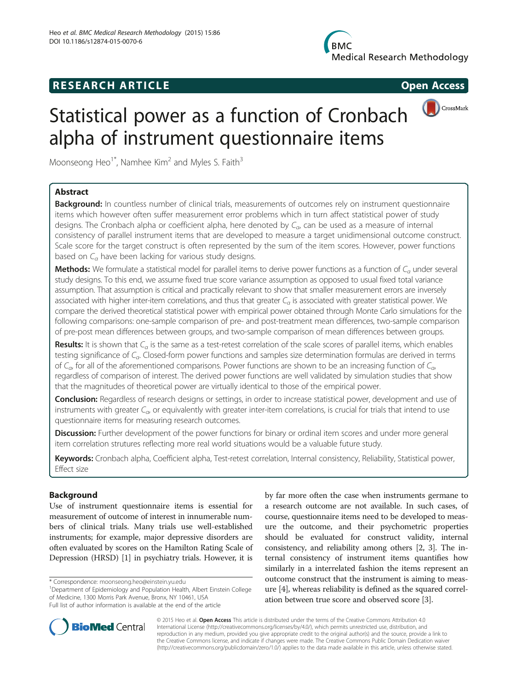## **RESEARCH ARTICLE Example 2014 CONSIDERING CONSIDERING CONSIDERING CONSIDERING CONSIDERING CONSIDERING CONSIDERING CONSIDERING CONSIDERING CONSIDERING CONSIDERING CONSIDERING CONSIDERING CONSIDERING CONSIDERING CONSIDE**



# Statistical power as a function of Cronbach alpha of instrument questionnaire items

Moonseong Heo<sup>1\*</sup>, Namhee Kim<sup>2</sup> and Myles S. Faith<sup>3</sup>

## Abstract

Background: In countless number of clinical trials, measurements of outcomes rely on instrument questionnaire items which however often suffer measurement error problems which in turn affect statistical power of study designs. The Cronbach alpha or coefficient alpha, here denoted by  $C_{\alpha}$  can be used as a measure of internal consistency of parallel instrument items that are developed to measure a target unidimensional outcome construct. Scale score for the target construct is often represented by the sum of the item scores. However, power functions based on  $C_a$  have been lacking for various study designs.

Methods: We formulate a statistical model for parallel items to derive power functions as a function of  $C_q$  under several study designs. To this end, we assume fixed true score variance assumption as opposed to usual fixed total variance assumption. That assumption is critical and practically relevant to show that smaller measurement errors are inversely associated with higher inter-item correlations, and thus that greater  $C_{\alpha}$  is associated with greater statistical power. We compare the derived theoretical statistical power with empirical power obtained through Monte Carlo simulations for the following comparisons: one-sample comparison of pre- and post-treatment mean differences, two-sample comparison of pre-post mean differences between groups, and two-sample comparison of mean differences between groups.

Results: It is shown that  $C_\alpha$  is the same as a test-retest correlation of the scale scores of parallel items, which enables testing significance of  $C_{\alpha}$ . Closed-form power functions and samples size determination formulas are derived in terms of  $C_{\alpha}$ , for all of the aforementioned comparisons. Power functions are shown to be an increasing function of  $C_{\alpha}$ , regardless of comparison of interest. The derived power functions are well validated by simulation studies that show that the magnitudes of theoretical power are virtually identical to those of the empirical power.

Conclusion: Regardless of research designs or settings, in order to increase statistical power, development and use of instruments with greater  $C_{\alpha}$ , or equivalently with greater inter-item correlations, is crucial for trials that intend to use questionnaire items for measuring research outcomes.

Discussion: Further development of the power functions for binary or ordinal item scores and under more general item correlation strutures reflecting more real world situations would be a valuable future study.

Keywords: Cronbach alpha, Coefficient alpha, Test-retest correlation, Internal consistency, Reliability, Statistical power, Effect size

## Background

Use of instrument questionnaire items is essential for measurement of outcome of interest in innumerable numbers of clinical trials. Many trials use well-established instruments; for example, major depressive disorders are often evaluated by scores on the Hamilton Rating Scale of Depression (HRSD) [\[1\]](#page-8-0) in psychiatry trials. However, it is

<sup>1</sup>Department of Epidemiology and Population Health, Albert Einstein College of Medicine, 1300 Morris Park Avenue, Bronx, NY 10461, USA Full list of author information is available at the end of the article



© 2015 Heo et al. Open Access This article is distributed under the terms of the Creative Commons Attribution 4.0 International License [\(http://creativecommons.org/licenses/by/4.0/](http://creativecommons.org/licenses/by/4.0/)), which permits unrestricted use, distribution, and reproduction in any medium, provided you give appropriate credit to the original author(s) and the source, provide a link to the Creative Commons license, and indicate if changes were made. The Creative Commons Public Domain Dedication waiver [\(http://creativecommons.org/publicdomain/zero/1.0/](http://creativecommons.org/publicdomain/zero/1.0/)) applies to the data made available in this article, unless otherwise stated.

<sup>\*</sup> Correspondence: [moonseong.heo@einstein.yu.edu](mailto:moonseong.heo@einstein.yu.edu) <sup>1</sup>

by far more often the case when instruments germane to a research outcome are not available. In such cases, of course, questionnaire items need to be developed to measure the outcome, and their psychometric properties should be evaluated for construct validity, internal consistency, and reliability among others [\[2](#page-8-0), [3](#page-8-0)]. The internal consistency of instrument items quantifies how similarly in a interrelated fashion the items represent an outcome construct that the instrument is aiming to measure [[4](#page-8-0)], whereas reliability is defined as the squared correlation between true score and observed score [\[3](#page-8-0)].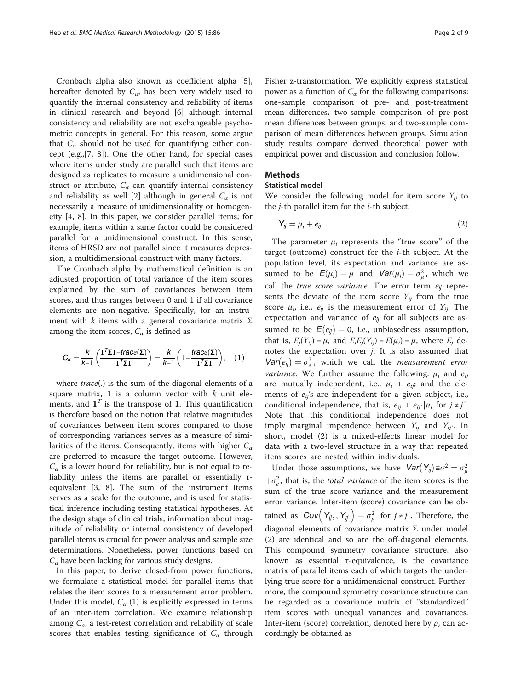Cronbach alpha also known as coefficient alpha [\[5](#page-8-0)], hereafter denoted by  $C_{\alpha}$ , has been very widely used to quantify the internal consistency and reliability of items in clinical research and beyond [[6\]](#page-8-0) although internal consistency and reliability are not exchangeable psychometric concepts in general. For this reason, some argue that  $C_{\alpha}$  should not be used for quantifying either concept (e.g.,[\[7](#page-8-0), [8\]](#page-8-0)). One the other hand, for special cases where items under study are parallel such that items are designed as replicates to measure a unidimensional construct or attribute,  $C_{\alpha}$  can quantify internal consistency and reliability as well [[2\]](#page-8-0) although in general  $C_{\alpha}$  is not necessarily a measure of unidimensionality or homogeneity [\[4](#page-8-0), [8](#page-8-0)]. In this paper, we consider parallel items; for example, items within a same factor could be considered parallel for a unidimensional construct. In this sense, items of HRSD are not parallel since it measures depression, a multidimensional construct with many factors.

The Cronbach alpha by mathematical definition is an adjusted proportion of total variance of the item scores explained by the sum of covariances between item scores, and thus ranges between 0 and 1 if all covariance elements are non-negative. Specifically, for an instrument with k items with a general covariance matrix  $\Sigma$ among the item scores,  $C_{\alpha}$  is defined as

$$
C_{\alpha} = \frac{k}{k-1} \left( \frac{\mathbf{1}^T \mathbf{\Sigma} \mathbf{1} - \text{trace}(\mathbf{\Sigma})}{\mathbf{1}^T \mathbf{\Sigma} \mathbf{1}} \right) = \frac{k}{k-1} \left( \mathbf{1} - \frac{\text{trace}(\mathbf{\Sigma})}{\mathbf{1}^T \mathbf{\Sigma} \mathbf{1}} \right), \quad (1)
$$

where trace(.) is the sum of the diagonal elements of a square matrix,  $1$  is a column vector with  $k$  unit elements, and  $\mathbf{1}^T$  is the transpose of 1. This quantification is therefore based on the notion that relative magnitudes of covariances between item scores compared to those of corresponding variances serves as a measure of similarities of the items. Consequently, items with higher  $C_a$ are preferred to measure the target outcome. However,  $C_{\alpha}$  is a lower bound for reliability, but is not equal to reliability unless the items are parallel or essentially τequivalent [\[3, 8](#page-8-0)]. The sum of the instrument items serves as a scale for the outcome, and is used for statistical inference including testing statistical hypotheses. At the design stage of clinical trials, information about magnitude of reliability or internal consistency of developed parallel items is crucial for power analysis and sample size determinations. Nonetheless, power functions based on  $C_{\alpha}$  have been lacking for various study designs.

In this paper, to derive closed-from power functions, we formulate a statistical model for parallel items that relates the item scores to a measurement error problem. Under this model,  $C_{\alpha}$  (1) is explicitly expressed in terms of an inter-item correlation. We examine relationship among  $C_{\alpha}$ , a test-retest correlation and reliability of scale scores that enables testing significance of  $C_{\alpha}$  through Fisher z-transformation. We explicitly express statistical power as a function of  $C_{\alpha}$  for the following comparisons: one-sample comparison of pre- and post-treatment mean differences, two-sample comparison of pre-post mean differences between groups, and two-sample comparison of mean differences between groups. Simulation study results compare derived theoretical power with empirical power and discussion and conclusion follow.

## Methods

#### Statistical model

We consider the following model for item score  $Y_{ii}$  to the  $j$ -th parallel item for the  $i$ -th subject:

$$
Y_{ij} = \mu_i + e_{ij} \tag{2}
$$

The parameter  $\mu_i$  represents the "true score" of the target (outcome) construct for the  $i$ -th subject. At the population level, its expectation and variance are assumed to be  $E(\mu_i) = \mu$  and  $Var(\mu_i) = \sigma_{\mu}^2$ , which we call the *true score variance*. The error term  $e_{ii}$  represents the deviate of the item score  $Y_{ij}$  from the true score  $\mu_i$ , i.e.,  $e_{ij}$  is the measurement error of  $Y_{ij}$ . The expectation and variance of  $e_{ij}$  for all subjects are assumed to be  $E(e_{ij}) = 0$ , i.e., unbiasedness assumption, that is,  $E_i(Y_{ij}) = \mu_i$  and  $E_iE_j(Y_{ij}) = E(\mu_i) = \mu$ , where  $E_j$  denotes the expectation over  $j$ . It is also assumed that  $Var(e_{ij}) = \sigma_e^2$ , which we call the *measurement error*<br>wariance We further essume the following, *u* and a *variance*. We further assume the following:  $\mu_i$  and  $e_{ii}$ are mutually independent, i.e.,  $\mu_i \perp e_{ij}$ ; and the elements of  $e_{ii}$ 's are independent for a given subject, i.e., conditional independence, that is,  $e_{ij} \perp e_{ij} / \mu_i$  for  $j \neq j'$ . Note that this conditional independence does not imply marginal impendence between  $Y_{ij}$  and  $Y_{ij'}$ . In short, model (2) is a mixed-effects linear model for data with a two-level structure in a way that repeated item scores are nested within individuals.

Under those assumptions, we have  $Var(Y_{ij}) \equiv \sigma^2 = \sigma_\mu^2$  $+\sigma_e^2$ , that is, the *total variance* of the item scores is the sum of the true score variance and the measurement sum of the true score variance and the measurement error variance. Inter-item (score) covariance can be obtained as  $Cov(Y_{ij}, Y_{ij}) = \sigma_{\mu}^2$  for  $j \neq j'$ . Therefore, the diagonal elements of covariance matrix Σ under model (2) are identical and so are the off-diagonal elements. This compound symmetry covariance structure, also known as essential τ-equivalence, is the covariance matrix of parallel items each of which targets the underlying true score for a unidimensional construct. Furthermore, the compound symmetry covariance structure can be regarded as a covariance matrix of "standardized" item scores with unequal variances and covariances. Inter-item (score) correlation, denoted here by  $\rho$ , can accordingly be obtained as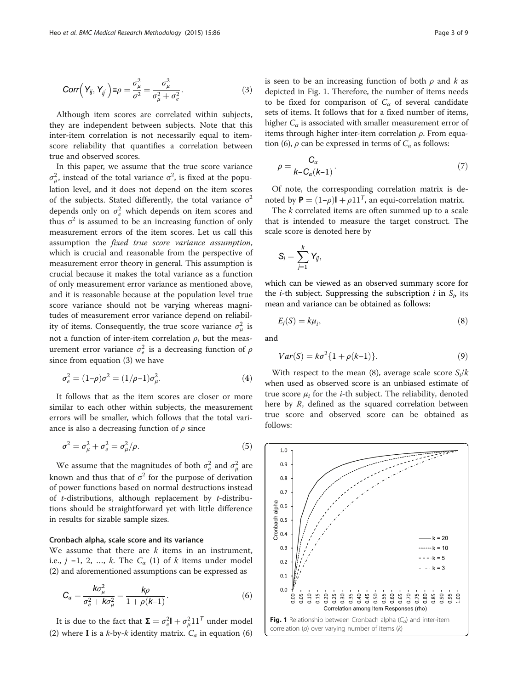<span id="page-2-0"></span>
$$
Corr\left(Y_{ij}, Y_{ij}\right) \equiv \rho = \frac{\sigma_{\mu}^2}{\sigma^2} = \frac{\sigma_{\mu}^2}{\sigma_{\mu}^2 + \sigma_{e}^2}.
$$
\n(3)

Although item scores are correlated within subjects, they are independent between subjects. Note that this inter-item correlation is not necessarily equal to itemscore reliability that quantifies a correlation between true and observed scores.

In this paper, we assume that the true score variance  $\sigma_{\mu}^{2}$ , instead of the total variance  $\sigma^{2}$ , is fixed at the population level, and it does not depend on the item scores of the subjects. Stated differently, the total variance  $\sigma^2$ depends only on  $\sigma_e^2$  which depends on item scores and thus  $\sigma^2$  is assumed to be an increasing function of only measurement errors of the item scores. Let us call this assumption the fixed true score variance assumption, which is crucial and reasonable from the perspective of measurement error theory in general. This assumption is crucial because it makes the total variance as a function of only measurement error variance as mentioned above, and it is reasonable because at the population level true score variance should not be varying whereas magnitudes of measurement error variance depend on reliability of items. Consequently, the true score variance  $\sigma_{\mu}^2$  is not a function of inter-item correlation  $ρ$ , but the measurement error variance  $\sigma_e^2$  is a decreasing function of  $\rho$ since from equation (3) we have

$$
\sigma_e^2 = (1 - \rho)\sigma^2 = (1/\rho - 1)\sigma_\mu^2.
$$
 (4)

It follows that as the item scores are closer or more similar to each other within subjects, the measurement errors will be smaller, which follows that the total variance is also a decreasing function of  $\rho$  since

$$
\sigma^2 = \sigma_\mu^2 + \sigma_e^2 = \sigma_\mu^2/\rho. \tag{5}
$$

We assume that the magnitudes of both  $\sigma_e^2$  and  $\sigma_\mu^2$  are known and thus that of  $\sigma^2$  for the purpose of derivation of power functions based on normal destructions instead of  $t$ -distributions, although replacement by  $t$ -distributions should be straightforward yet with little difference in results for sizable sample sizes.

#### Cronbach alpha, scale score and its variance

We assume that there are  $k$  items in an instrument, i.e.,  $j = 1, 2, ..., k$ . The  $C_{\alpha}$  (1) of k items under model (2) and aforementioned assumptions can be expressed as

$$
C_{\alpha} = \frac{k\sigma_{\mu}^{2}}{\sigma_{e}^{2} + k\sigma_{\mu}^{2}} = \frac{k\rho}{1 + \rho(k-1)}.
$$
 (6)

It is due to the fact that  $\Sigma = \sigma_e^2 \mathbf{I} + \sigma_\mu^2 \mathbf{1} \mathbf{1}^T$  under model (2) where I is a k-by-k identity matrix.  $C_{\alpha}$  in equation (6) is seen to be an increasing function of both  $\rho$  and k as depicted in Fig. 1. Therefore, the number of items needs to be fixed for comparison of  $C_{\alpha}$  of several candidate sets of items. It follows that for a fixed number of items, higher  $C_{\alpha}$  is associated with smaller measurement error of items through higher inter-item correlation  $\rho$ . From equation (6),  $\rho$  can be expressed in terms of  $C_{\alpha}$  as follows:

$$
\rho = \frac{C_{\alpha}}{k - C_{\alpha}(k-1)}.
$$
\n(7)

Of note, the corresponding correlation matrix is denoted by  $\mathbf{P} = (1-\rho)\mathbf{I} + \rho \mathbf{1}\mathbf{1}^T$ , an equi-correlation matrix.

The k correlated items are often summed up to a scale that is intended to measure the target construct. The scale score is denoted here by

$$
S_i=\sum_{j=1}^k Y_{ij},
$$

which can be viewed as an observed summary score for the *i*-th subject. Suppressing the subscription *i* in  $S_i$  its mean and variance can be obtained as follows:

$$
E_j(S) = k\mu_i,\tag{8}
$$

and

$$
Var(S) = k\sigma^{2} \{1 + \rho(k-1)\}.
$$
 (9)

With respect to the mean (8), average scale score  $S_i/k$ when used as observed score is an unbiased estimate of true score  $\mu_i$  for the *i*-th subject. The reliability, denoted here by  $R$ , defined as the squared correlation between true score and observed score can be obtained as follows:

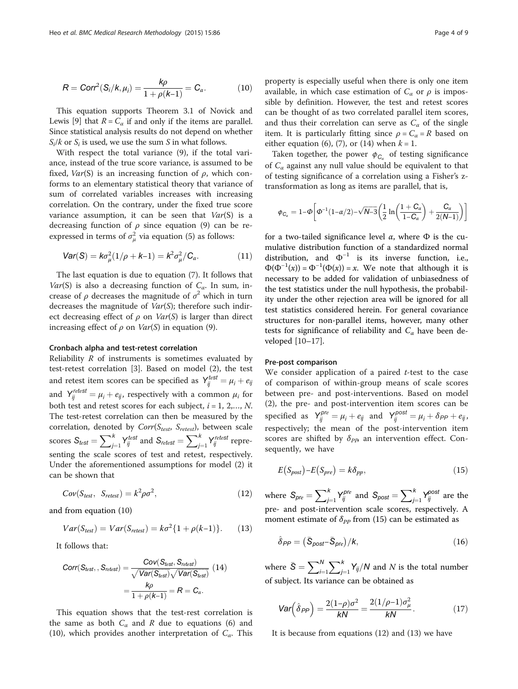<span id="page-3-0"></span>
$$
R = Corr^{2}(S_{i}/k, \mu_{i}) = \frac{k\rho}{1 + \rho(k-1)} = C_{\alpha}.
$$
 (10)

This equation supports Theorem 3.1 of Novick and Lewis [\[9\]](#page-8-0) that  $R = C_{\alpha}$  if and only if the items are parallel. Since statistical analysis results do not depend on whether  $S_i/k$  or  $S_i$  is used, we use the sum S in what follows.

With respect the total variance (9), if the total variance, instead of the true score variance, is assumed to be fixed,  $Var(S)$  is an increasing function of  $\rho$ , which conforms to an elementary statistical theory that variance of sum of correlated variables increases with increasing correlation. On the contrary, under the fixed true score variance assumption, it can be seen that  $Var(S)$  is a decreasing function of  $\rho$  since equation ([9](#page-2-0)) can be reexpressed in terms of  $\sigma_\mu^2$  via equation [\(5](#page-2-0)) as follows:

$$
Var(S) = k\sigma_{\mu}^{2}(1/\rho + k-1) = k^{2}\sigma_{\mu}^{2}/C_{\alpha}.
$$
 (11)

The last equation is due to equation ([7\)](#page-2-0). It follows that Var(S) is also a decreasing function of  $C_{\alpha}$ . In sum, increase of  $\rho$  decreases the magnitude of  $\sigma^2$  which in turn decreases the magnitude of  $Var(S)$ ; therefore such indirect decreasing effect of  $\rho$  on  $Var(S)$  is larger than direct increasing effect of  $\rho$  on  $Var(S)$  in equation ([9\)](#page-2-0).

#### Cronbach alpha and test-retest correlation

Reliability R of instruments is sometimes evaluated by test-retest correlation [[3](#page-8-0)]. Based on model (2), the test and retest item scores can be specified as  $Y_{ij}^{test} = \mu_i + e_{ij}$ and  $Y_{ij}^{retest} = \mu_i + e_{ij}$ , respectively with a common  $\mu_i$  for both test and retest scores for each subject,  $i = 1, 2,..., N$ . The test-retest correlation can then be measured by the correlation, denoted by  $Corr(S_{test}, S_{retest})$ , between scale scores  $S_{test} = \sum_{j=1}^{k}$  $Y_{ij}^{test}$  and  $S_{retest} = \sum_{j=1}^{k} X_{ij}$  $Y_{ij}^{retest}$  representing the scale scores of test and retest, respectively. Under the aforementioned assumptions for model (2) it can be shown that

$$
Cov(S_{test}, S_{retest}) = k^2 \rho \sigma^2, \qquad (12)
$$

and from equation (10)

$$
Var(S_{test}) = Var(S_{retest}) = k\sigma^2 \{1 + \rho(k-1)\}.
$$
 (13)

It follows that:

$$
Corr(S_{test}, S_{retest}) = \frac{Cov(S_{test}, S_{retest})}{\sqrt{Var(S_{test})}\sqrt{Var(S_{test})}}
$$
(14)
$$
= \frac{k\rho}{1+\rho(k-1)} = R = C_{\alpha}.
$$

This equation shows that the test-rest correlation is the same as both  $C_{\alpha}$  and R due to equations ([6\)](#page-2-0) and (10), which provides another interpretation of  $C_{\alpha}$ . This property is especially useful when there is only one item available, in which case estimation of  $C_\alpha$  or  $\rho$  is impossible by definition. However, the test and retest scores can be thought of as two correlated parallel item scores, and thus their correlation can serve as  $C_{\alpha}$  of the single item. It is particularly fitting since  $\rho = C_{\alpha} = R$  based on either equation ([6\)](#page-2-0), [\(7](#page-2-0)), or (14) when  $k = 1$ .

Taken together, the power  $\phi_{C_{\alpha}}$  of testing significance of  $C_{\alpha}$  against any null value should be equivalent to that of testing significance of a correlation using a Fisher's ztransformation as long as items are parallel, that is,

$$
\phi_{C_{\alpha}} = 1 - \Phi \bigg[ \Phi^{-1}(1 - \alpha/2) - \sqrt{N - 3} \bigg( \frac{1}{2} \ln \bigg( \frac{1 + C_{\alpha}}{1 - C_{\alpha}} \bigg) + \frac{C_{\alpha}}{2(N - 1)} \bigg) \bigg]
$$

for a two-tailed significance level  $\alpha$ , where  $\Phi$  is the cumulative distribution function of a standardized normal distribution, and  $\Phi^{-1}$  is its inverse function, i.e.,  $\Phi(\Phi^{-1}(x)) = \Phi^{-1}(\Phi(x)) = x$ . We note that although it is necessary to be added for validation of unbiasedness of the test statistics under the null hypothesis, the probability under the other rejection area will be ignored for all test statistics considered herein. For general covariance structures for non-parallel items, however, many other tests for significance of reliability and  $C_{\alpha}$  have been developed [\[10](#page-8-0)–[17\]](#page-8-0).

#### Pre-post comparison

We consider application of a paired  $t$ -test to the case of comparison of within-group means of scale scores between pre- and post-interventions. Based on model (2), the pre- and post-intervention item scores can be specified as  $Y_{ij}^{pre} = \mu_i + e_{ij}$  and  $Y_{ij}^{post} = \mu_i + \delta_{PP} + e_{ij}$ , respectively; the mean of the post-intervention item scores are shifted by  $\delta_{PP}$  an intervention effect. Consequently, we have

$$
E(S_{post}) - E(S_{pre}) = k\delta_{pp},\tag{15}
$$

where  $S_{pre} = \sum_{j=1}^{k}$  $Y_{ij}^{pre}$  and  $S_{post} = \sum_{j=1}^{k}$  $Y_{ij}^{post}$  are the pre- and post-intervention scale scores, respectively. A moment estimate of  $\delta_{PP}$  from (15) can be estimated as

$$
\hat{\delta}_{PP} = (\bar{S}_{post} - \bar{S}_{pre})/k, \tag{16}
$$

where  $\bar{S}$  $=\sum_{i=1}^{N}$  $\sum_{k}^{k}$  $\int_{j=1}^{n} Y_{ij}/N$  and N is the total number of subject. Its variance can be obtained as

$$
Var\left(\hat{\delta}_{PP}\right) = \frac{2(1-\rho)\sigma^2}{kN} = \frac{2(1/\rho - 1)\sigma_\mu^2}{kN}.
$$
 (17)

It is because from equations (12) and (13) we have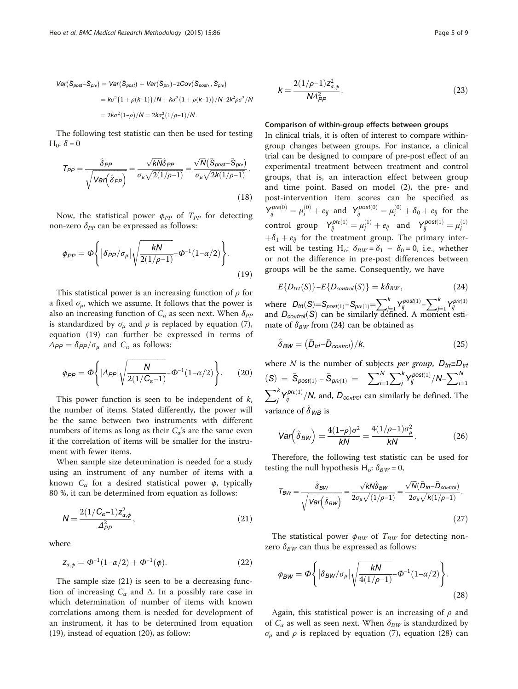<span id="page-4-0"></span>
$$
Var(\bar{S}_{post} - \bar{S}_{pre}) = Var(\bar{S}_{post}) + Var(\bar{S}_{pre}) - 2Cov(\bar{S}_{post}, \bar{S}_{pre})
$$
  
=  $k\sigma^2\{1 + \rho(k-1)\}/N + k\sigma^2\{1 + \rho(k-1)\}/N - 2k^2\rho\sigma^2/N$   
=  $2k\sigma^2(1-\rho)/N = 2k\sigma_\mu^2(1/\rho - 1)/N$ .

The following test statistic can then be used for testing H<sub>0</sub>:  $\delta$  = 0

$$
T_{PP} = \frac{\hat{\delta}_{PP}}{\sqrt{\text{Var}(\hat{\delta}_{PP})}} = \frac{\sqrt{kN}\hat{\delta}_{PP}}{\sigma_{\mu}\sqrt{2(1/\rho-1)}} = \frac{\sqrt{N}(\bar{S}_{post} - \bar{S}_{pre})}{\sigma_{\mu}\sqrt{2k(1/\rho-1)}}.
$$
\n(18)

Now, the statistical power  $\phi_{PP}$  of  $T_{PP}$  for detecting non-zero  $\delta_{PP}$  can be expressed as follows:

$$
\varphi_{PP} = \Phi \left\{ \left| \delta_{PP} / \sigma_{\mu} \right| \sqrt{\frac{kN}{2(1/\rho - 1)}} \Phi^{-1} (1 - \alpha/2) \right\}.
$$
\n(19)

This statistical power is an increasing function of  $\rho$  for a fixed  $\sigma_{\mu}$ , which we assume. It follows that the power is also an increasing function of  $C_{\alpha}$  as seen next. When  $\delta_{PP}$ is standardized by  $\sigma_{\mu}$  and  $\rho$  is replaced by equation [\(7](#page-2-0)), equation (19) can further be expressed in terms of  $\Delta_{PP} = \delta_{PP}/\sigma_{\mu}$  and  $C_{\alpha}$  as follows:

$$
\phi_{PP} = \Phi \left\{ |\Delta_{PP}| \sqrt{\frac{N}{2(1/C_{\alpha}-1)}} - \Phi^{-1}(1-\alpha/2) \right\}.
$$
 (20)

This power function is seen to be independent of  $k$ , the number of items. Stated differently, the power will be the same between two instruments with different numbers of items as long as their  $C_\alpha$ 's are the same even if the correlation of items will be smaller for the instrument with fewer items.

When sample size determination is needed for a study using an instrument of any number of items with a known  $C_{\alpha}$  for a desired statistical power  $\phi$ , typically 80 %, it can be determined from equation as follows:

$$
N = \frac{2(1/C_{\alpha}-1)z_{\alpha,\phi}^2}{\Delta_{PP}^2},
$$
\n(21)

where

$$
z_{\alpha,\phi} = \Phi^{-1}(1 - \alpha/2) + \Phi^{-1}(\phi).
$$
 (22)

The sample size (21) is seen to be a decreasing function of increasing  $C_{\alpha}$  and  $\Delta$ . In a possibly rare case in which determination of number of items with known correlations among them is needed for development of an instrument, it has to be determined from equation (19), instead of equation (20), as follow:

$$
k = \frac{2(1/\rho - 1)z_{\alpha,\phi}^2}{N\Delta_{PP}^2}.
$$
 (23)

#### Comparison of within-group effects between groups

In clinical trials, it is often of interest to compare withingroup changes between groups. For instance, a clinical trial can be designed to compare of pre-post effect of an experimental treatment between treatment and control groups, that is, an interaction effect between group and time point. Based on model (2), the pre- and post-intervention item scores can be specified as  $Y_{ij}^{pre(0)} = \mu_i^{(0)} + e_{ij}$  and  $Y_{ij}^{post(0)} = \mu_i^{(0)} + \delta_0 + e_{ij}$  for the control group  $Y_{ij}^{pre(1)} = \mu_i^{(1)} + e_{ij}$  and  $Y_{ij}^{post(1)} = \mu_i^{(1)}$  $+\delta_1 + e_{ii}$  for the treatment group. The primary interest will be testing H<sub>o</sub>:  $\delta_{BW} = \delta_1 - \delta_0 = 0$ , i.e., whether or not the difference in pre-post differences between groups will be the same. Consequently, we have

$$
E\{D_{trt}(S)\}-E\{D_{control}(S)\} = k\delta_{BW},\tag{24}
$$

where  $D_{trf}(S) = S_{post(1)} - S_{pre(1)} = \sum_{j=1}^{k}$ j=1<br>∙fir  $Y_{ij}^{post(1)} - \sum_{i=1}^{k}$ j=1<br>ier where  $D_{tr}(S) = S_{post(1)} - S_{pre(1)} = \sum_{j=1}^{k} Y_{ij}^{post(1)} - \sum_{j=1}^{k} Y_{ij}^{pre(1)}$ <br>and  $D_{control}(S)$  can be similarly defined. A moment estimate of  $\delta_{BW}$  from (24) can be obtained as

$$
\hat{\delta}_{BW} = (\bar{D}_{\text{trt}} - \bar{D}_{\text{control}})/k, \tag{25}
$$

where N is the number of subjects per group,  $\bar{D}_{tr} \equiv \bar{D}_{tr}$  $\hat{S}_{\text{post}(1)} - \bar{S}_{\text{pre}(1)} = \sum_{i=1}^{N}$  $\sum_j^k Y_{ij}^{post(1)}/N-\sum_{j=1}^N$  $\nabla^k$  $i=1$  $\int\limits_{j}^{\kappa}{Y_{ij}^{pre(1)}}/{\cal N},$  and,  $\bar{D}_{control}$  can similarly be defined. The variance of  $\delta_{WB}$  is

$$
\text{Var}\left(\hat{\delta}_{BW}\right) = \frac{4(1-\rho)\sigma^2}{kN} = \frac{4(1/\rho - 1)\sigma_\mu^2}{kN}.\tag{26}
$$

Therefore, the following test statistic can be used for testing the null hypothesis H<sub>o</sub>:  $\delta_{BW} = 0$ ,

$$
\mathcal{T}_{BW} = \frac{\hat{\delta}_{BW}}{\sqrt{\text{Var}\Big(\hat{\delta}_{BW}\Big)}} = \frac{\sqrt{kN}\hat{\delta}_{BW}}{2\sigma_{\mu}\sqrt{(1/\rho-1)}} = \frac{\sqrt{N}(\bar{D}_{tt} - \bar{D}_{control})}{2\sigma_{\mu}\sqrt{k(1/\rho-1)}}.
$$
\n(27)

The statistical power  $\phi_{BW}$  of  $T_{BW}$  for detecting nonzero  $\delta_{BW}$  can thus be expressed as follows:

$$
\phi_{BW} = \Phi \Biggl\{ \Big| \delta_{BW} / \sigma_{\mu} \Big| \sqrt{\frac{kN}{4(1/\rho - 1)}} - \Phi^{-1}(1 - \alpha/2) \Biggr\}.
$$
\n(28)

Again, this statistical power is an increasing of  $\rho$  and of  $C_{\alpha}$  as well as seen next. When  $\delta_{BW}$  is standardized by σ<sub>μ</sub> and *ρ* is replaced by equation [\(7](#page-2-0)), equation (28) can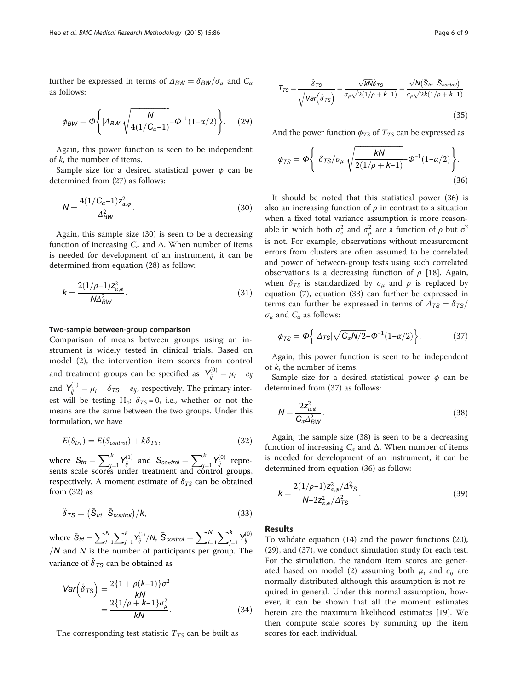<span id="page-5-0"></span>further be expressed in terms of  $\Delta_{BW} = \delta_{BW}/\sigma_{\mu}$  and  $C_{\alpha}$ as follows:

$$
\phi_{BW} = \Phi \left\{ |\Delta_{BW}| \sqrt{\frac{N}{4(1/C_{\alpha}-1)}} - \Phi^{-1}(1-\alpha/2) \right\}.
$$
 (29)

Again, this power function is seen to be independent of k, the number of items.

Sample size for a desired statistical power  $\phi$  can be determined from (27) as follows:

$$
N = \frac{4(1/C_{\alpha} - 1)z_{\alpha,\phi}^2}{\Delta_{BW}^2}.
$$
 (30)

Again, this sample size (30) is seen to be a decreasing function of increasing  $C_{\alpha}$  and  $\Delta$ . When number of items is needed for development of an instrument, it can be determined from equation ([28\)](#page-4-0) as follow:

$$
k = \frac{2(1/\rho - 1)z_{\alpha,\phi}^2}{N\Delta_{BW}^2}.
$$
\n(31)

#### Two-sample between-group comparison

Comparison of means between groups using an instrument is widely tested in clinical trials. Based on model (2), the intervention item scores from control and treatment groups can be specified as  $Y_{ij}^{(0)} = \mu_i + e_{ij}$ and  $Y_{ij}^{(1)} = \mu_i + \delta_{TS} + e_{ij}$ , respectively. The primary interest will be testing H<sub>o</sub>:  $\delta_{TS} = 0$ , i.e., whether or not the means are the same between the two groups. Under this formulation, we have

$$
E(S_{trt}) = E(S_{control}) + k\delta_{TS},
$$
\n(32)

where  $S_{trt} = \sum_{j=1}^{k}$ <br>sents scale scores u  $Y_{ij}^{(1)}$  and  $S_{control} = \sum_{j=1}^{k} X_{j}^{(1)}$ <br>under treatment and cont  $Y_{ij}^{(0)}$  represents scale scores under treatment and control groups, respectively. A moment estimate of  $\delta_{TS}$  can be obtained from (32) as

$$
\hat{\delta}_{TS} = (\bar{S}_{ttt} - \bar{S}_{control})/k, \tag{33}
$$

where  $\bar{S}_{trt} = \sum_{i=1}^{N}$  $\nabla^k$  $\frac{j-1}{1}$  $Y_{ij}^{(1)}/N$ ,  $\bar{S}_{control} = \sum_{i=1}^{N}$  $\sum^k$ j=1  $Y_{ij}^{(0)}$ / $N$  and  $N$  is the number of participants per group. The variance of  $\hat{\delta}_{TS}$  can be obtained as

$$
Var(\hat{\delta}_{TS}) = \frac{2\{1+\rho(k-1)\}\sigma^2}{kN} = \frac{2\{1/\rho + k-1\}\sigma_{\mu}^2}{kN}.
$$
(34)

The corresponding test statistic  $T_{TS}$  can be built as

$$
\tau_{TS} = \frac{\hat{\delta}_{TS}}{\sqrt{\text{Var}\big(\hat{\delta}_{TS}\big)}} = \frac{\sqrt{kN}\hat{\delta}_{TS}}{\sigma_{\mu}\sqrt{2(1/\rho + k - 1)}} = \frac{\sqrt{N}(\bar{S}_{tt} - \bar{S}_{control})}{\sigma_{\mu}\sqrt{2k(1/\rho + k - 1)}}.
$$
\n(35)

And the power function  $\phi_{TS}$  of  $T_{TS}$  can be expressed as

$$
\phi_{TS} = \Phi \Biggl\{ \Big| \delta_{TS} / \sigma_{\mu} \Big| \sqrt{\frac{kN}{2(1/\rho + k - 1)}} - \Phi^{-1}(1 - \alpha/2) \Biggr\}.
$$
\n(36)

It should be noted that this statistical power (36) is also an increasing function of  $\rho$  in contrast to a situation when a fixed total variance assumption is more reasonable in which both  $\sigma_e^2$  and  $\sigma_\mu^2$  are a function of  $\rho$  but  $\sigma^2$ is not. For example, observations without measurement errors from clusters are often assumed to be correlated and power of between-group tests using such correlated observations is a decreasing function of  $\rho$  [[18](#page-8-0)]. Again, when  $\delta_{TS}$  is standardized by  $\sigma_{\mu}$  and  $\rho$  is replaced by equation ([7\)](#page-2-0), equation (33) can further be expressed in terms can further be expressed in terms of  $\Delta_{TS}=\delta_{TS}/$  $\sigma_{\mu}$  and  $C_{\alpha}$  as follows:

$$
\phi_{TS} = \Phi\left\{ |\Delta_{TS}| \sqrt{C_{\alpha} N/2} - \Phi^{-1} (1 - \alpha/2) \right\}.
$$
 (37)

Again, this power function is seen to be independent of k, the number of items.

Sample size for a desired statistical power  $\phi$  can be determined from (37) as follows:

$$
N = \frac{2z_{\alpha,\phi}^2}{C_{\alpha} \Delta_{BW}^2}.
$$
\n(38)

Again, the sample size (38) is seen to be a decreasing function of increasing  $C_{\alpha}$  and  $\Delta$ . When number of items is needed for development of an instrument, it can be determined from equation (36) as follow:

$$
k = \frac{2(1/\rho - 1)z_{\alpha,\phi}^2/\Delta_{TS}^2}{N - 2z_{\alpha,\phi}^2/\Delta_{TS}^2}.
$$
\n(39)

#### Results

To validate equation [\(14](#page-3-0)) and the power functions (20), (29), and (37), we conduct simulation study for each test. For the simulation, the random item scores are generated based on model (2) assuming both  $\mu_i$  and  $e_{ii}$  are normally distributed although this assumption is not required in general. Under this normal assumption, however, it can be shown that all the moment estimates herein are the maximum likelihood estimates [[19\]](#page-8-0). We then compute scale scores by summing up the item scores for each individual.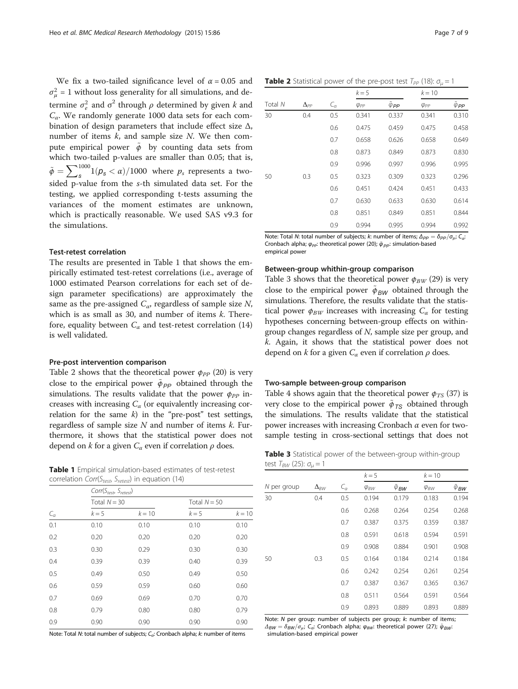We fix a two-tailed significance level of  $\alpha = 0.05$  and  $\sigma_{\mu}^2$  = 1 without loss generality for all simulations, and determine  $\sigma_e^2$  and  $\sigma^2$  through  $\rho$  determined by given  $k$  and  $C_{\alpha}$ . We randomly generate 1000 data sets for each combination of design parameters that include effect size  $\Delta$ , number of items  $k$ , and sample size  $N$ . We then compute empirical power  $\phi$  by counting data sets from which two-tailed p-values are smaller than 0.05; that is,  $\tilde{\phi} = \sum_{s=0}^{1000} 1(p_s < \alpha) / 1000$  where  $p_s$  represents a twosided p-value from the s-th simulated data set. For the testing, we applied corresponding t-tests assuming the variances of the moment estimates are unknown, which is practically reasonable. We used SAS v9.3 for the simulations.

#### Test-retest correlation

The results are presented in Table 1 that shows the empirically estimated test-retest correlations (i.e., average of 1000 estimated Pearson correlations for each set of design parameter specifications) are approximately the same as the pre-assigned  $C_{\alpha}$ , regardless of sample size N, which is as small as 30, and number of items  $k$ . Therefore, equality between  $C_{\alpha}$  and test-retest correlation (14) is well validated.

#### Pre-post intervention comparison

Table 2 shows that the theoretical power  $\phi_{PP}$  (20) is very close to the empirical power  $\tilde{\phi}_{PP}$  obtained through the simulations. The results validate that the power  $\phi_{PP}$  increases with increasing  $C_{\alpha}$  (or equivalently increasing correlation for the same  $k$ ) in the "pre-post" test settings, regardless of sample size  $N$  and number of items  $k$ . Furthermore, it shows that the statistical power does not depend on k for a given  $C_{\alpha}$  even if correlation  $\rho$  does.

Table 1 Empirical simulation-based estimates of test-retest correlation Corr( $S_{test}$ ,  $S_{retest}$ ) in equation ([14](#page-3-0))

| $C_a$ |                | $Corr(S_{test}, S_{retest})$ |                |          |  |  |  |  |  |
|-------|----------------|------------------------------|----------------|----------|--|--|--|--|--|
|       | Total $N = 30$ |                              | Total $N = 50$ |          |  |  |  |  |  |
|       | $k=5$          | $k = 10$                     | $k=5$          | $k = 10$ |  |  |  |  |  |
| 0.1   | 0.10           | 0.10                         | 0.10           | 0.10     |  |  |  |  |  |
| 0.2   | 0.20           | 0.20                         | 0.20           | 0.20     |  |  |  |  |  |
| 0.3   | 0.30           | 0.29                         | 0.30           | 0.30     |  |  |  |  |  |
| 0.4   | 0.39           | 0.39                         | 0.40           | 0.39     |  |  |  |  |  |
| 0.5   | 0.49           | 0.50                         | 0.49           | 0.50     |  |  |  |  |  |
| 0.6   | 0.59           | 0.59                         | 0.60           | 0.60     |  |  |  |  |  |
| 0.7   | 0.69           | 0.69                         | 0.70           | 0.70     |  |  |  |  |  |
| 0.8   | 0.79           | 0.80                         | 0.80           | 0.79     |  |  |  |  |  |
| 0.9   | 0.90           | 0.90                         | 0.90           | 0.90     |  |  |  |  |  |

Note: Total N: total number of subjects;  $C_a$ : Cronbach alpha; k: number of items

| <b>Table 2</b> Statistical power of the pre-post test $T_{PP}$ (18): $\sigma_{\mu} = 1$ |  |  |  |  |  |  |
|-----------------------------------------------------------------------------------------|--|--|--|--|--|--|
|-----------------------------------------------------------------------------------------|--|--|--|--|--|--|

|         |               |                 | $k=5$          |                        | $k = 10$       |                                 |
|---------|---------------|-----------------|----------------|------------------------|----------------|---------------------------------|
| Total N | $\Delta_{PP}$ | $\mathcal{C}_a$ | $\varphi_{PP}$ | $\tilde{\varphi}_{PP}$ | $\varphi_{PP}$ | $\tilde{\varphi}_{\mathit{PP}}$ |
| 30      | 0.4           | 0.5             | 0.341          | 0.337                  | 0.341          | 0.310                           |
|         |               | 0.6             | 0.475          | 0.459                  | 0.475          | 0.458                           |
|         |               | 0.7             | 0.658          | 0.626                  | 0.658          | 0.649                           |
|         |               | 0.8             | 0.873          | 0.849                  | 0.873          | 0.830                           |
|         |               | 0.9             | 0.996          | 0.997                  | 0.996          | 0.995                           |
| 50      | 0.3           | 0.5             | 0.323          | 0.309                  | 0.323          | 0.296                           |
|         |               | 0.6             | 0.451          | 0.424                  | 0.451          | 0.433                           |
|         |               | 0.7             | 0.630          | 0.633                  | 0.630          | 0.614                           |
|         |               | 0.8             | 0.851          | 0.849                  | 0.851          | 0.844                           |
|         |               | 0.9             | 0.994          | 0.995                  | 0.994          | 0.992                           |

Note: Total N: total number of subjects; k: number of items;  $\Delta_{PP}=\delta_{PP}/\sigma_{ui}$ ; C<sub>a</sub>: Cronbach alpha;  $\varphi_{PP}$ : theoretical power (20);  $\tilde{\varphi}_{PP}$ : simulation-based empirical power

#### Between-group whithin-group comparison

Table 3 shows that the theoretical power  $\phi_{BW}$  (29) is very close to the empirical power  $\tilde{\phi}_{BW}$  obtained through the simulations. Therefore, the results validate that the statistical power  $\phi_{BW}$  increases with increasing  $C_{\alpha}$  for testing hypotheses concerning between-group effects on withingroup changes regardless of N, sample size per group, and k. Again, it shows that the statistical power does not depend on k for a given  $C_{\alpha}$  even if correlation  $\rho$  does.

#### Two-sample between-group comparison

Table [4](#page-7-0) shows again that the theoretical power  $\phi_{TS}$  (37) is very close to the empirical power  $\tilde{\phi}_{TS}$  obtained through the simulations. The results validate that the statistical power increases with increasing Cronbach  $\alpha$  even for twosample testing in cross-sectional settings that does not

Table 3 Statistical power of the between-group within-group test  $T_{BW}$  (25):  $\sigma_{\mu} = 1$ 

|             | $\Delta_{BW}$ | $\mathcal{C}_\alpha$ | $k=5$          |                       | $k = 10$       |                                   |
|-------------|---------------|----------------------|----------------|-----------------------|----------------|-----------------------------------|
| N per group |               |                      | $\varphi_{BW}$ | $\ddot{\varphi}_{BW}$ | $\varphi_{BW}$ | $\tilde{\varphi}_{\text{\it BW}}$ |
| 30          | 0.4           | 0.5                  | 0.194          | 0.179                 | 0.183          | 0.194                             |
|             |               | 0.6                  | 0.268          | 0.264                 | 0.254          | 0.268                             |
|             |               | 0.7                  | 0.387          | 0.375                 | 0.359          | 0.387                             |
|             |               | 0.8                  | 0.591          | 0.618                 | 0.594          | 0.591                             |
|             |               | 0.9                  | 0.908          | 0.884                 | 0.901          | 0.908                             |
| 50          | 0.3           | 0.5                  | 0.164          | 0.184                 | 0.214          | 0.184                             |
|             |               | 0.6                  | 0.242          | 0.254                 | 0.261          | 0.254                             |
|             |               | 0.7                  | 0.387          | 0.367                 | 0.365          | 0.367                             |
|             |               | 0.8                  | 0.511          | 0.564                 | 0.591          | 0.564                             |
|             |               | 0.9                  | 0.893          | 0.889                 | 0.893          | 0.889                             |

Note: N per group: number of subjects per group; k: number of items;  $\Delta_{BW}=\delta_{BW}/\sigma_{\mu}$ ; C<sub>a</sub>: Cronbach alpha;  $\varphi_{BW}$ : theoretical power (27);  $\tilde{\varphi}_{BW}$ : simulation-based empirical power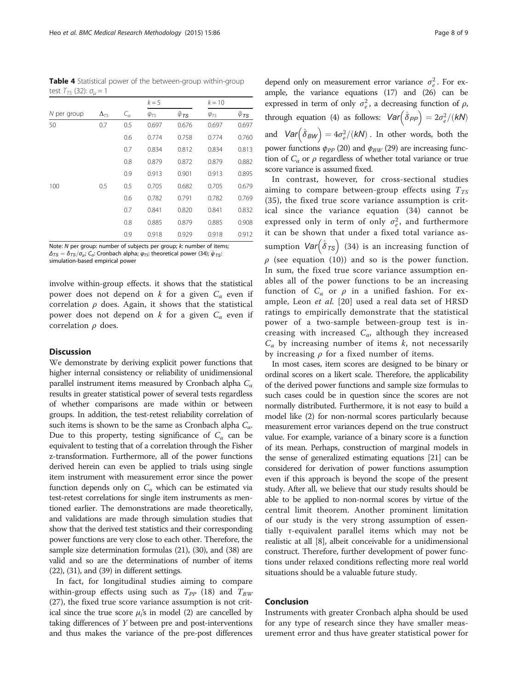<span id="page-7-0"></span>Table 4 Statistical power of the between-group within-group test  $T_{TS}$  (32):  $\sigma_{\mu} = 1$ 

|             | $\Delta_{TS}$ | $C_a$ | $k=5$          |                       | $k = 10$       |                       |
|-------------|---------------|-------|----------------|-----------------------|----------------|-----------------------|
| N per group |               |       | $\varphi_{TS}$ | $\ddot{\varphi}_{TS}$ | $\varphi_{TS}$ | $\ddot{\varphi}_{TS}$ |
| 50          | 0.7           | 0.5   | 0.697          | 0.676                 | 0.697          | 0.697                 |
|             |               | 0.6   | 0.774          | 0.758                 | 0.774          | 0.760                 |
|             |               | 0.7   | 0.834          | 0.812                 | 0.834          | 0.813                 |
|             |               | 0.8   | 0.879          | 0.872                 | 0.879          | 0.882                 |
|             |               | 0.9   | 0.913          | 0.901                 | 0.913          | 0.895                 |
| 100         | 0.5           | 0.5   | 0.705          | 0.682                 | 0.705          | 0.679                 |
|             |               | 0.6   | 0.782          | 0.791                 | 0.782          | 0.769                 |
|             |               | 0.7   | 0.841          | 0.820                 | 0.841          | 0.832                 |
|             |               | 0.8   | 0.885          | 0.879                 | 0.885          | 0.908                 |
|             |               | 0.9   | 0.918          | 0.929                 | 0.918          | 0.912                 |

Note: N per group: number of subjects per group; k: number of items;  $\Delta_{TS}=\delta_{TS}/\sigma_{\mu}$ ; C<sub>a</sub>: Cronbach alpha;  $\varphi_{TS}$ : theoretical power (34);  $\tilde{\varphi}_{TS}$ : simulation-based empirical power

involve within-group effects. it shows that the statistical power does not depend on k for a given  $C_{\alpha}$  even if correlation  $\rho$  does. Again, it shows that the statistical power does not depend on k for a given  $C_{\alpha}$  even if correlation  $\rho$  does.

#### **Discussion**

We demonstrate by deriving explicit power functions that higher internal consistency or reliability of unidimensional parallel instrument items measured by Cronbach alpha  $C_{\alpha}$ results in greater statistical power of several tests regardless of whether comparisons are made within or between groups. In addition, the test-retest reliability correlation of such items is shown to be the same as Cronbach alpha  $C_{\alpha}$ . Due to this property, testing significance of  $C_{\alpha}$  can be equivalent to testing that of a correlation through the Fisher z-transformation. Furthermore, all of the power functions derived herein can even be applied to trials using single item instrument with measurement error since the power function depends only on  $C_{\alpha}$  which can be estimated via test-retest correlations for single item instruments as mentioned earlier. The demonstrations are made theoretically, and validations are made through simulation studies that show that the derived test statistics and their corresponding power functions are very close to each other. Therefore, the sample size determination formulas (21), (30), and (38) are valid and so are the determinations of number of items  $(22)$ ,  $(31)$ , and  $(39)$  in different settings.

In fact, for longitudinal studies aiming to compare within-group effects using such as  $T_{PP}$  (18) and  $T_{BW}$ (27), the fixed true score variance assumption is not critical since the true score  $\mu_i$ 's in model (2) are cancelled by taking differences of Y between pre and post-interventions and thus makes the variance of the pre-post differences

depend only on measurement error variance  $\sigma_e^2$ . For example, the variance equations ([17\)](#page-3-0) and ([26](#page-4-0)) can be expressed in term of only  $\sigma_e^2$ , a decreasing function of  $\rho$ , through equation ([4](#page-2-0)) as follows:  $Var(\hat{\delta}_{PP}) = 2\sigma_e^2/(kN)$ and  $Var(\hat{\delta}_{BW}) = 4\sigma_e^2/(kN)$ . In other words, both the power functions  $\phi_{PP}$  (20) and  $\phi_{BW}$  (29) are increasing function of  $C_{\alpha}$  or  $\rho$  regardless of whether total variance or true score variance is assumed fixed.

In contrast, however, for cross-sectional studies aiming to compare between-group effects using  $T_{TS}$ (35), the fixed true score variance assumption is critical since the variance equation [\(34\)](#page-5-0) cannot be expressed only in term of only  $\sigma_e^2$ , and furthermore it can be shown that under a fixed total variance assumption  $Var(\hat{\delta}_{TS})$  (34) is an increasing function of  $\rho$  (see equation ([10](#page-3-0))) and so is the power function. In sum, the fixed true score variance assumption enables all of the power functions to be an increasing function of  $C_{\alpha}$  or  $\rho$  in a unified fashion. For ex-ample, Leon et al. [[20](#page-8-0)] used a real data set of HRSD ratings to empirically demonstrate that the statistical power of a two-sample between-group test is increasing with increased  $C_{\alpha}$ , although they increased  $C_{\alpha}$  by increasing number of items k, not necessarily by increasing  $\rho$  for a fixed number of items.

In most cases, item scores are designed to be binary or ordinal scores on a likert scale. Therefore, the applicability of the derived power functions and sample size formulas to such cases could be in question since the scores are not normally distributed. Furthermore, it is not easy to build a model like (2) for non-normal scores particularly because measurement error variances depend on the true construct value. For example, variance of a binary score is a function of its mean. Perhaps, construction of marginal models in the sense of generalized estimating equations [\[21](#page-8-0)] can be considered for derivation of power functions assumption even if this approach is beyond the scope of the present study. After all, we believe that our study results should be able to be applied to non-normal scores by virtue of the central limit theorem. Another prominent limitation of our study is the very strong assumption of essentially τ-equivalent parallel items which may not be realistic at all [[8](#page-8-0)], albeit conceivable for a unidimensional construct. Therefore, further development of power functions under relaxed conditions reflecting more real world situations should be a valuable future study.

### Conclusion

Instruments with greater Cronbach alpha should be used for any type of research since they have smaller measurement error and thus have greater statistical power for